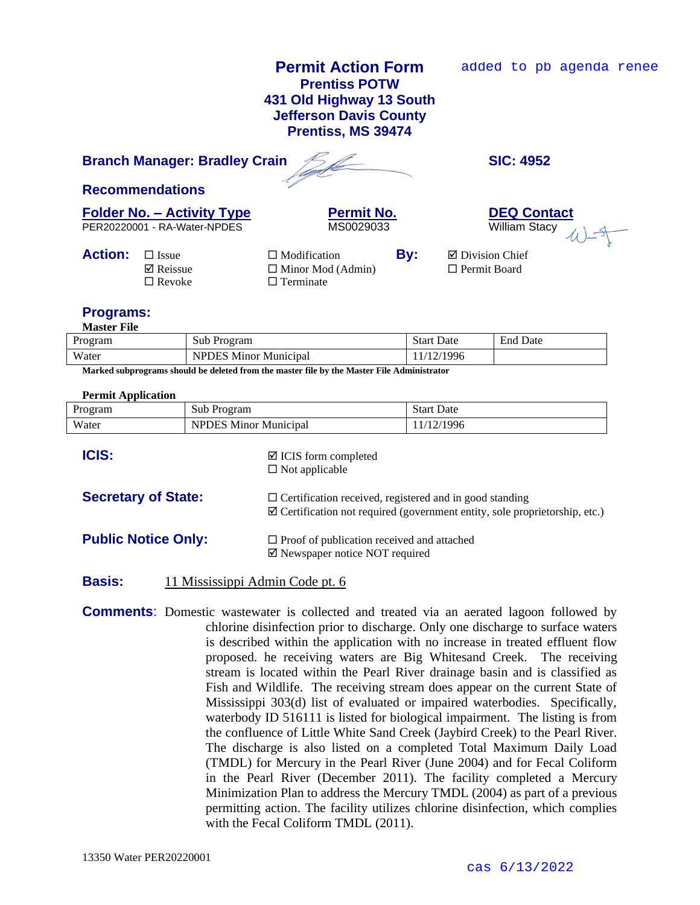# **Permit Action Form Prentiss POTW 431 Old Highway 13 South Jefferson Davis County Prentiss, MS 39474**

added to pb agenda renee

# **Branch Manager: Bradley Crain SIC: 4952**

**Recommendations**

PER20220001 - RA-Water-NPDES MS0029033

**Folder No. – Activity Type**<br> **PER20220001 - RA-Water-NPDES**<br> **PER20220001 - RA-Water-NPDES**<br> **PER20220001 - RA-Water-NPDES** 

| <b>Action:</b> $\Box$ Issue | $\Box$ Modification      | By: | □ Division Chief    |
|-----------------------------|--------------------------|-----|---------------------|
| $\boxtimes$ Reissue         | $\Box$ Minor Mod (Admin) |     | $\Box$ Permit Board |
| $\Box$ Revoke               | $\Box$ Terminate         |     |                     |
|                             |                          |     |                     |

# **Programs:**

**Master File**

| Program | Sub Program                  | <b>Start Date</b> | <b>End Date</b> |
|---------|------------------------------|-------------------|-----------------|
| Water   | <b>NPDES Minor Municipal</b> | 12/1996           |                 |

**Marked subprograms should be deleted from the master file by the Master File Administrator**

### **Permit Application**

| Program                    | Sub Program                  |                                                                                                                                                         | <b>Start Date</b> |  |
|----------------------------|------------------------------|---------------------------------------------------------------------------------------------------------------------------------------------------------|-------------------|--|
| Water                      | <b>NPDES Minor Municipal</b> |                                                                                                                                                         | 11/12/1996        |  |
| <b>ICIS:</b>               |                              | $\boxtimes$ ICIS form completed<br>$\Box$ Not applicable                                                                                                |                   |  |
| <b>Secretary of State:</b> |                              | $\Box$ Certification received, registered and in good standing<br>$\boxtimes$ Certification not required (government entity, sole proprietorship, etc.) |                   |  |
| <b>Public Notice Only:</b> |                              | $\Box$ Proof of publication received and attached<br>$\boxtimes$ Newspaper notice NOT required                                                          |                   |  |

## **Basis:** 11 Mississippi Admin Code pt. 6

**Comments**: Domestic wastewater is collected and treated via an aerated lagoon followed by chlorine disinfection prior to discharge. Only one discharge to surface waters is described within the application with no increase in treated effluent flow proposed. he receiving waters are Big Whitesand Creek. The receiving stream is located within the Pearl River drainage basin and is classified as Fish and Wildlife. The receiving stream does appear on the current State of Mississippi 303(d) list of evaluated or impaired waterbodies. Specifically, waterbody ID 516111 is listed for biological impairment. The listing is from the confluence of Little White Sand Creek (Jaybird Creek) to the Pearl River. The discharge is also listed on a completed Total Maximum Daily Load (TMDL) for Mercury in the Pearl River (June 2004) and for Fecal Coliform in the Pearl River (December 2011). The facility completed a Mercury Minimization Plan to address the Mercury TMDL (2004) as part of a previous permitting action. The facility utilizes chlorine disinfection, which complies with the Fecal Coliform TMDL (2011).